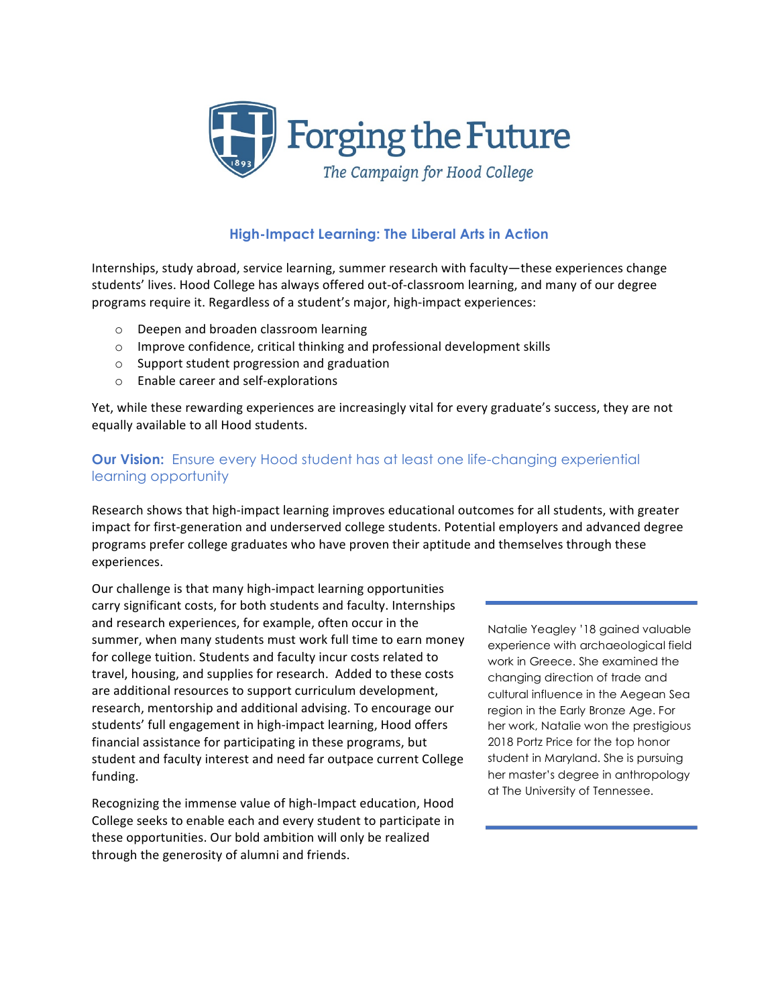

# **High-Impact Learning: The Liberal Arts in Action**

Internships, study abroad, service learning, summer research with faculty—these experiences change students' lives. Hood College has always offered out-of-classroom learning, and many of our degree programs require it. Regardless of a student's major, high-impact experiences:

- o Deepen and broaden classroom learning
- $\circ$  Improve confidence, critical thinking and professional development skills
- $\circ$  Support student progression and graduation
- $\circ$  Enable career and self-explorations

Yet, while these rewarding experiences are increasingly vital for every graduate's success, they are not equally available to all Hood students.

## **Our Vision:** Ensure every Hood student has at least one life-changing experiential learning opportunity

Research shows that high-impact learning improves educational outcomes for all students, with greater impact for first-generation and underserved college students. Potential employers and advanced degree programs prefer college graduates who have proven their aptitude and themselves through these experiences. 

Our challenge is that many high-impact learning opportunities carry significant costs, for both students and faculty. Internships and research experiences, for example, often occur in the summer, when many students must work full time to earn money for college tuition. Students and faculty incur costs related to travel, housing, and supplies for research. Added to these costs are additional resources to support curriculum development, research, mentorship and additional advising. To encourage our students' full engagement in high-impact learning, Hood offers financial assistance for participating in these programs, but student and faculty interest and need far outpace current College funding.

Recognizing the immense value of high-Impact education, Hood College seeks to enable each and every student to participate in these opportunities. Our bold ambition will only be realized through the generosity of alumni and friends.

Natalie Yeagley '18 gained valuable experience with archaeological field work in Greece. She examined the changing direction of trade and cultural influence in the Aegean Sea region in the Early Bronze Age. For her work, Natalie won the prestigious 2018 Portz Price for the top honor student in Maryland. She is pursuing her master's degree in anthropology at The University of Tennessee.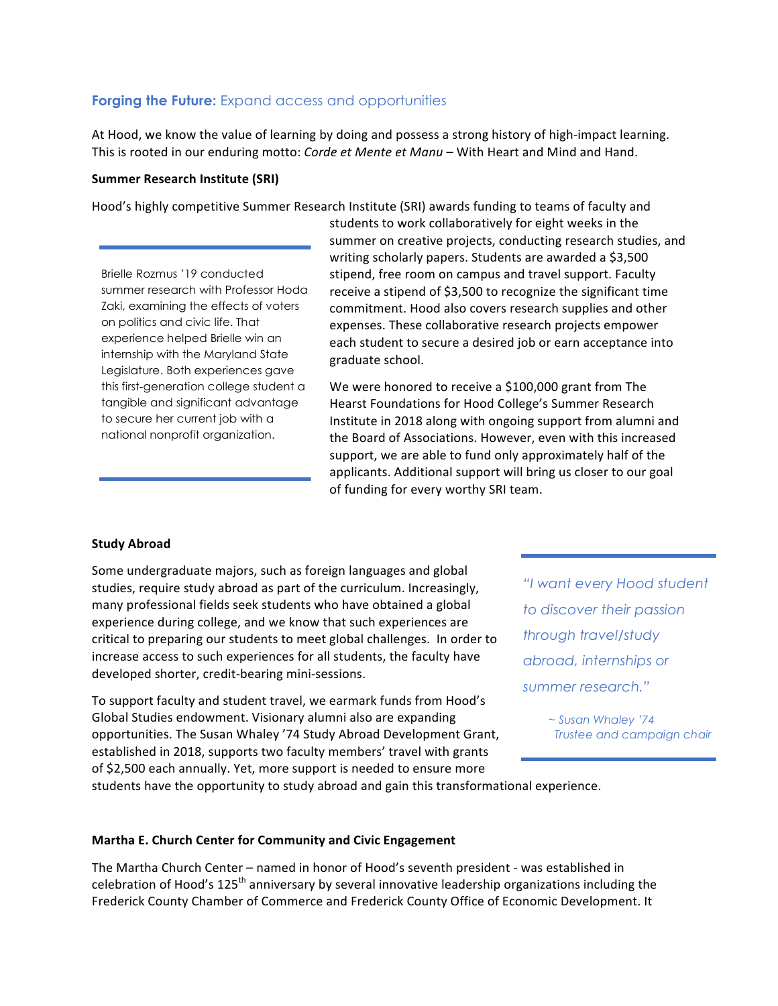# **Forging the Future:** Expand access and opportunities

At Hood, we know the value of learning by doing and possess a strong history of high-impact learning. This is rooted in our enduring motto: *Corde et Mente et Manu* – With Heart and Mind and Hand.

### **Summer Research Institute (SRI)**

Hood's highly competitive Summer Research Institute (SRI) awards funding to teams of faculty and

Brielle Rozmus '19 conducted summer research with Professor Hoda Zaki, examining the effects of voters on politics and civic life. That experience helped Brielle win an internship with the Maryland State Legislature. Both experiences gave this first-generation college student a tangible and significant advantage to secure her current job with a national nonprofit organization.

students to work collaboratively for eight weeks in the summer on creative projects, conducting research studies, and writing scholarly papers. Students are awarded a \$3,500 stipend, free room on campus and travel support. Faculty receive a stipend of \$3,500 to recognize the significant time commitment. Hood also covers research supplies and other expenses. These collaborative research projects empower each student to secure a desired job or earn acceptance into graduate school.

We were honored to receive a \$100,000 grant from The Hearst Foundations for Hood College's Summer Research Institute in 2018 along with ongoing support from alumni and the Board of Associations. However, even with this increased support, we are able to fund only approximately half of the applicants. Additional support will bring us closer to our goal of funding for every worthy SRI team.

#### **Study Abroad**

Some undergraduate majors, such as foreign languages and global studies, require study abroad as part of the curriculum. Increasingly, many professional fields seek students who have obtained a global experience during college, and we know that such experiences are critical to preparing our students to meet global challenges. In order to increase access to such experiences for all students, the faculty have developed shorter, credit-bearing mini-sessions.

To support faculty and student travel, we earmark funds from Hood's Global Studies endowment. Visionary alumni also are expanding opportunities. The Susan Whaley '74 Study Abroad Development Grant, established in 2018, supports two faculty members' travel with grants of \$2,500 each annually. Yet, more support is needed to ensure more

*"I want every Hood student to discover their passion through travel/study abroad, internships or summer research."*

> *~ Susan Whaley '74 Trustee and campaign chair*

students have the opportunity to study abroad and gain this transformational experience.

#### **Martha E. Church Center for Community and Civic Engagement**

The Martha Church Center – named in honor of Hood's seventh president - was established in celebration of Hood's 125<sup>th</sup> anniversary by several innovative leadership organizations including the Frederick County Chamber of Commerce and Frederick County Office of Economic Development. It